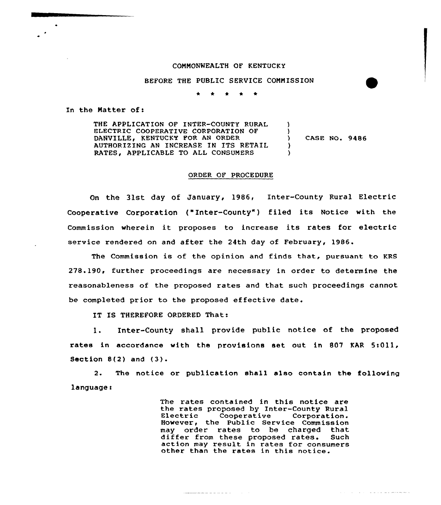#### COMMONWEALTH OF KENTUCKY

### BEFORE THE PUBLIC SERVICE COMMISSION

 $\star$   $\star$   $\star$ 

In the Matter of:

THE APPLICATION OF INTER-COUNTY RURAL ELECTRIC COOPERATIVE CORPORATION OF DANUILLE, KENTUCKY FOR AN ORDER AUTHORIZING AN INCREASE IN ITS RETAIL RATES, APPLICABLE TO ALL CONSUMERS ) ) ) CASE NO. 9486 ) )

#### ORDER OF PROCEDURE

On the 31st day of January, 1986, Inter-County Rural Electric Cooperative Corporation ("Inter-County") filed its Notice with the Commission wherein it proposes to increase its rates for electric service rendered on and after the 24th day of February, 1986.

The Commission is of the opinion and finds that, pursuant to KRS 278.190, further proceedings are necessary in order to determine the reasonableness of the proposed rates and that such proceedings cannot be completed prior to the proposed effective date.

IT IS THEREFORE ORDERED That:

l. Inter-County shall provide public notice of the proposed rates in accordance with the provisions set out in 807 KAR 5:011, Section 8(2) and (3).

2. The notice or publication shall also contain the following language:

 $\label{eq:reduced} \begin{split} \mathcal{L}_{\text{intra}}(\mathcal{L}_{\text{out}}) = \mathcal{L}_{\text{out}}(\mathcal{L}_{\text{out}}) = \mathcal{L}_{\text{out}}(\mathcal{L}_{\text{out}}) = \mathcal{L}_{\text{out}}(\mathcal{L}_{\text{out}}) = \mathcal{L}_{\text{out}}(\mathcal{L}_{\text{out}}) \end{split}$ 

The rates contained in this notice are the rates proposed by Inter-County Rural Electric Cooperative Corporation. However< the Public Service Commission may order rates to be charged that differ from these proposed rates. Such action may result in rates for consumers other than the rates in this notice.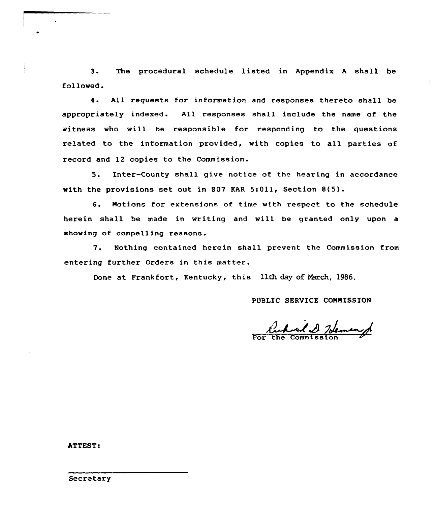3. The procedural schedule listed in Appendix <sup>A</sup> shall be folloved.

4. All requests for information and responses thereto shall be appropriately indexed. All responses shall include the name of the witness who will be responsible for responding to the questions related to the information provided, with copies to all parties of record and 12 copies to the Commission.

5. Inter-County shall qive notice of the hearing in accordance with the provisions set out in 807 KAR 5:011, Section 8(5).

6. Notions for extensions of time with respect to the schedule herein shall be made in vriting and will be granted only upon a shoving of compelling reasons.

7. Nothing contained herein shall prevent the Commission from entering further Orders in this matter.

Done at Frankfort, Kentucky, this 11th day of Narch, 1986.

## PUBLIC SERVICE CONNISSION

Inhard & Johnson

ATTEST:

Secretary